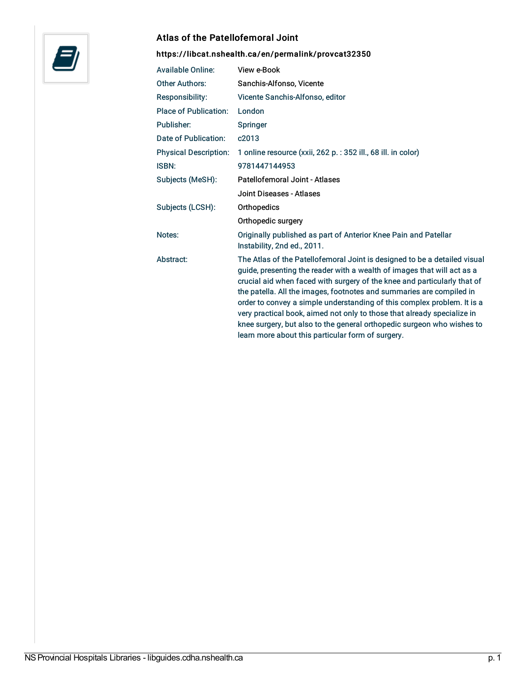

## Atlas of the Patellofemoral Joint

## <https://libcat.nshealth.ca/en/permalink/provcat32350>

| <b>Available Online:</b>     | View e-Book                                                                                                                                                                                                                                                                                                                                                                                                                                                                                                                                                                                   |
|------------------------------|-----------------------------------------------------------------------------------------------------------------------------------------------------------------------------------------------------------------------------------------------------------------------------------------------------------------------------------------------------------------------------------------------------------------------------------------------------------------------------------------------------------------------------------------------------------------------------------------------|
| <b>Other Authors:</b>        | Sanchis-Alfonso, Vicente                                                                                                                                                                                                                                                                                                                                                                                                                                                                                                                                                                      |
| Responsibility:              | Vicente Sanchis-Alfonso, editor                                                                                                                                                                                                                                                                                                                                                                                                                                                                                                                                                               |
| <b>Place of Publication:</b> | London                                                                                                                                                                                                                                                                                                                                                                                                                                                                                                                                                                                        |
| Publisher:                   | <b>Springer</b>                                                                                                                                                                                                                                                                                                                                                                                                                                                                                                                                                                               |
| Date of Publication:         | c2013                                                                                                                                                                                                                                                                                                                                                                                                                                                                                                                                                                                         |
| <b>Physical Description:</b> | 1 online resource (xxii, 262 p. : 352 ill., 68 ill. in color)                                                                                                                                                                                                                                                                                                                                                                                                                                                                                                                                 |
| <b>ISBN:</b>                 | 9781447144953                                                                                                                                                                                                                                                                                                                                                                                                                                                                                                                                                                                 |
| Subjects (MeSH):             | Patellofemoral Joint - Atlases                                                                                                                                                                                                                                                                                                                                                                                                                                                                                                                                                                |
|                              | Joint Diseases - Atlases                                                                                                                                                                                                                                                                                                                                                                                                                                                                                                                                                                      |
| Subjects (LCSH):             | Orthopedics                                                                                                                                                                                                                                                                                                                                                                                                                                                                                                                                                                                   |
|                              | Orthopedic surgery                                                                                                                                                                                                                                                                                                                                                                                                                                                                                                                                                                            |
| Notes:                       | Originally published as part of Anterior Knee Pain and Patellar<br>Instability, 2nd ed., 2011.                                                                                                                                                                                                                                                                                                                                                                                                                                                                                                |
| Abstract:                    | The Atlas of the Patellofemoral Joint is designed to be a detailed visual<br>guide, presenting the reader with a wealth of images that will act as a<br>crucial aid when faced with surgery of the knee and particularly that of<br>the patella. All the images, footnotes and summaries are compiled in<br>order to convey a simple understanding of this complex problem. It is a<br>very practical book, aimed not only to those that already specialize in<br>knee surgery, but also to the general orthopedic surgeon who wishes to<br>learn more about this particular form of surgery. |